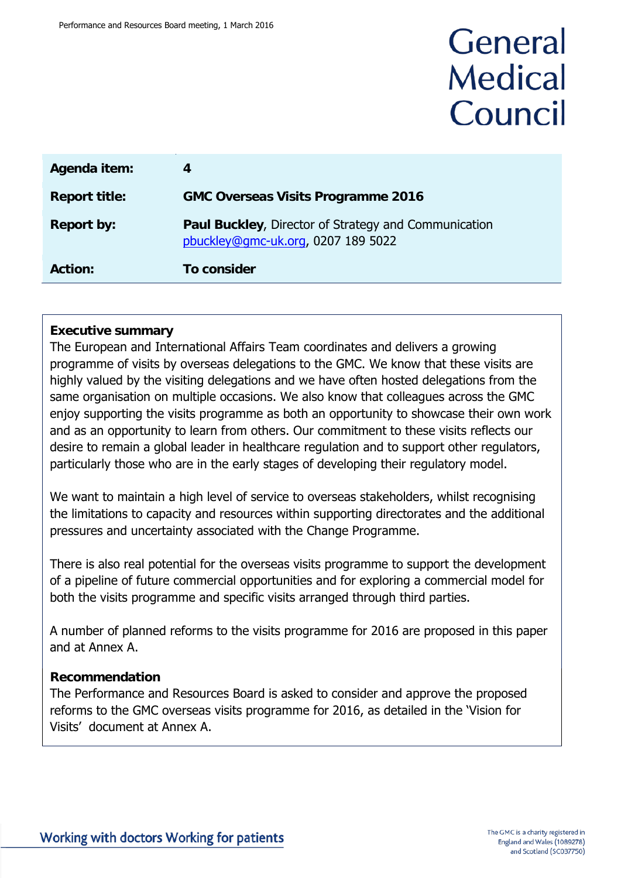# General **Medical** Council

| Agenda item:         | 4                                                                                                 |
|----------------------|---------------------------------------------------------------------------------------------------|
| <b>Report title:</b> | <b>GMC Overseas Visits Programme 2016</b>                                                         |
| Report by:           | <b>Paul Buckley, Director of Strategy and Communication</b><br>pbuckley@gmc-uk.org, 0207 189 5022 |
| <b>Action:</b>       | To consider                                                                                       |

#### **Executive summary**

The European and International Affairs Team coordinates and delivers a growing programme of visits by overseas delegations to the GMC. We know that these visits are highly valued by the visiting delegations and we have often hosted delegations from the same organisation on multiple occasions. We also know that colleagues across the GMC enjoy supporting the visits programme as both an opportunity to showcase their own work and as an opportunity to learn from others. Our commitment to these visits reflects our desire to remain a global leader in healthcare regulation and to support other regulators, particularly those who are in the early stages of developing their regulatory model.

We want to maintain a high level of service to overseas stakeholders, whilst recognising the limitations to capacity and resources within supporting directorates and the additional pressures and uncertainty associated with the Change Programme.

There is also real potential for the overseas visits programme to support the development of a pipeline of future commercial opportunities and for exploring a commercial model for both the visits programme and specific visits arranged through third parties.

A number of planned reforms to the visits programme for 2016 are proposed in this paper and at Annex A.

#### **Recommendation**

The Performance and Resources Board is asked to consider and approve the proposed reforms to the GMC overseas visits programme for 2016, as detailed in the 'Vision for Visits' document at Annex A.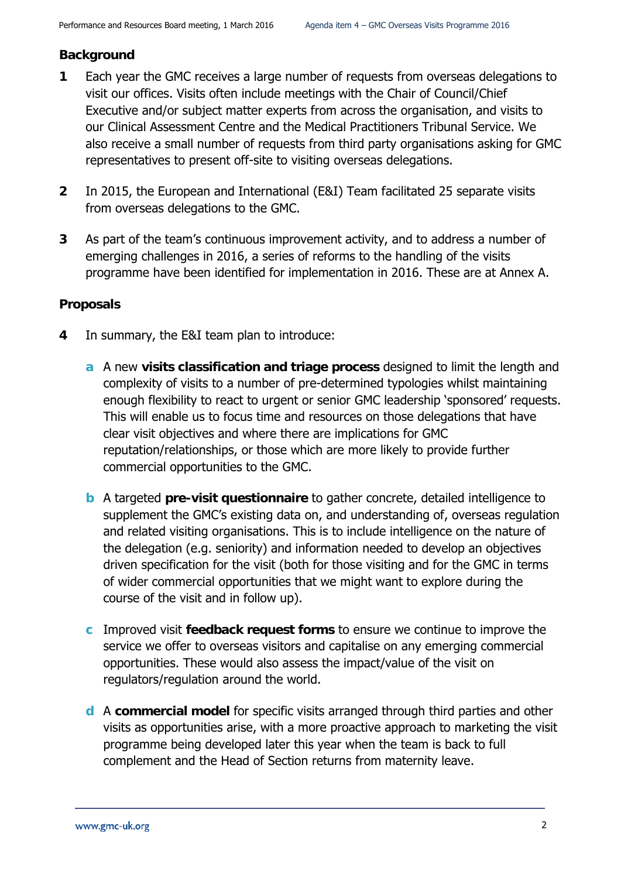#### **Background**

- **1** Each year the GMC receives a large number of requests from overseas delegations to visit our offices. Visits often include meetings with the Chair of Council/Chief Executive and/or subject matter experts from across the organisation, and visits to our Clinical Assessment Centre and the Medical Practitioners Tribunal Service. We also receive a small number of requests from third party organisations asking for GMC representatives to present off-site to visiting overseas delegations.
- **2** In 2015, the European and International (E&I) Team facilitated 25 separate visits from overseas delegations to the GMC.
- **3** As part of the team's continuous improvement activity, and to address a number of emerging challenges in 2016, a series of reforms to the handling of the visits programme have been identified for implementation in 2016. These are at Annex A.

#### **Proposals**

- **4** In summary, the E&I team plan to introduce:
	- **a** A new **visits classification and triage process** designed to limit the length and complexity of visits to a number of pre-determined typologies whilst maintaining enough flexibility to react to urgent or senior GMC leadership 'sponsored' requests. This will enable us to focus time and resources on those delegations that have clear visit objectives and where there are implications for GMC reputation/relationships, or those which are more likely to provide further commercial opportunities to the GMC.
	- **b** A targeted **pre-visit questionnaire** to gather concrete, detailed intelligence to supplement the GMC's existing data on, and understanding of, overseas regulation and related visiting organisations. This is to include intelligence on the nature of the delegation (e.g. seniority) and information needed to develop an objectives driven specification for the visit (both for those visiting and for the GMC in terms of wider commercial opportunities that we might want to explore during the course of the visit and in follow up).
	- **c** Improved visit **feedback request forms** to ensure we continue to improve the service we offer to overseas visitors and capitalise on any emerging commercial opportunities. These would also assess the impact/value of the visit on regulators/regulation around the world.
	- **d** A **commercial model** for specific visits arranged through third parties and other visits as opportunities arise, with a more proactive approach to marketing the visit programme being developed later this year when the team is back to full complement and the Head of Section returns from maternity leave.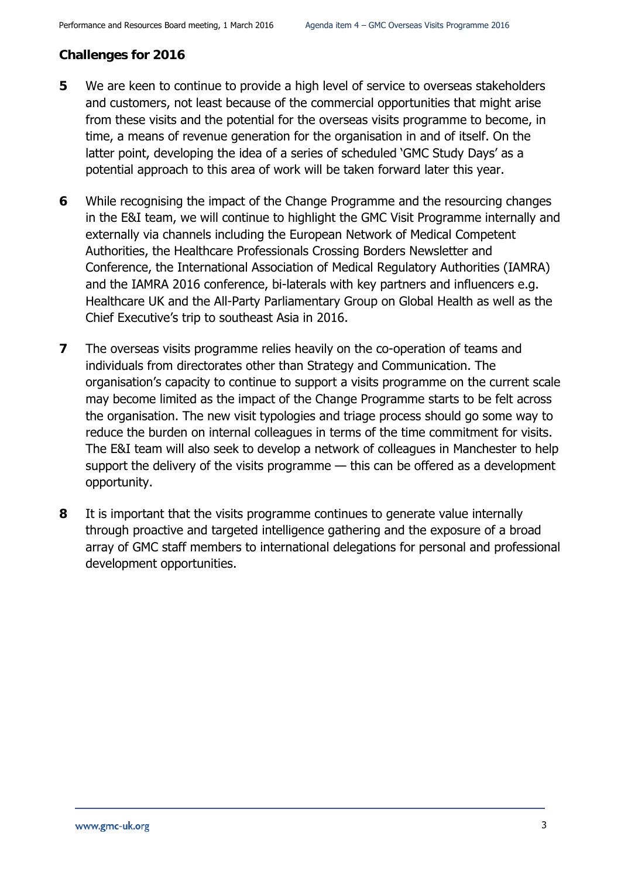#### **Challenges for 2016**

- **5** We are keen to continue to provide a high level of service to overseas stakeholders and customers, not least because of the commercial opportunities that might arise from these visits and the potential for the overseas visits programme to become, in time, a means of revenue generation for the organisation in and of itself. On the latter point, developing the idea of a series of scheduled 'GMC Study Days' as a potential approach to this area of work will be taken forward later this year.
- **6** While recognising the impact of the Change Programme and the resourcing changes in the E&I team, we will continue to highlight the GMC Visit Programme internally and externally via channels including the European Network of Medical Competent Authorities, the Healthcare Professionals Crossing Borders Newsletter and Conference, the International Association of Medical Regulatory Authorities (IAMRA) and the IAMRA 2016 conference, bi-laterals with key partners and influencers e.g. Healthcare UK and the All-Party Parliamentary Group on Global Health as well as the Chief Executive's trip to southeast Asia in 2016.
- **7** The overseas visits programme relies heavily on the co-operation of teams and individuals from directorates other than Strategy and Communication. The organisation's capacity to continue to support a visits programme on the current scale may become limited as the impact of the Change Programme starts to be felt across the organisation. The new visit typologies and triage process should go some way to reduce the burden on internal colleagues in terms of the time commitment for visits. The E&I team will also seek to develop a network of colleagues in Manchester to help support the delivery of the visits programme — this can be offered as a development opportunity.
- **8** It is important that the visits programme continues to generate value internally through proactive and targeted intelligence gathering and the exposure of a broad array of GMC staff members to international delegations for personal and professional development opportunities.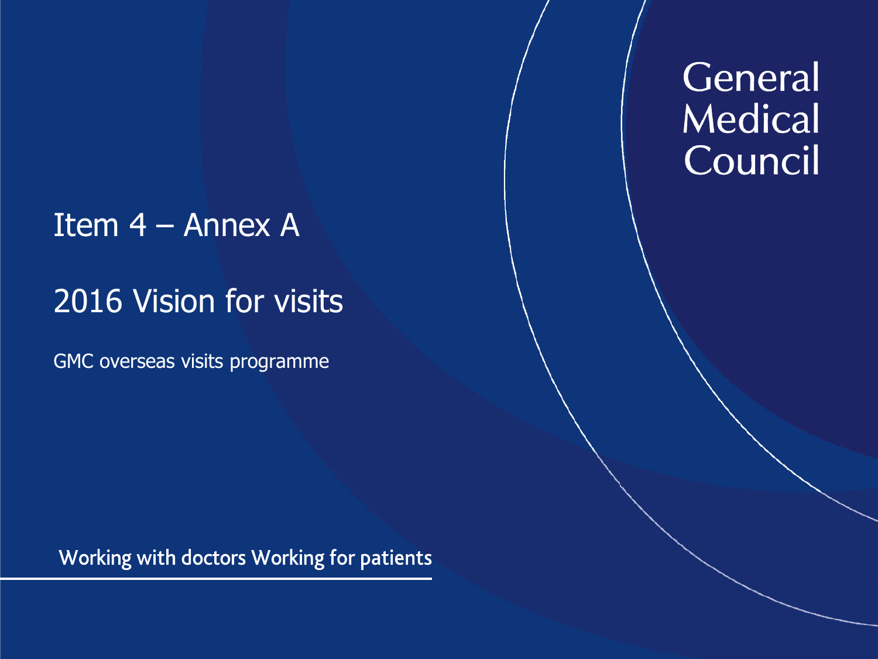## Item 4 – Annex A

## 2016 Vision for visits

GMC overseas visits programme

Working with doctors Working for patients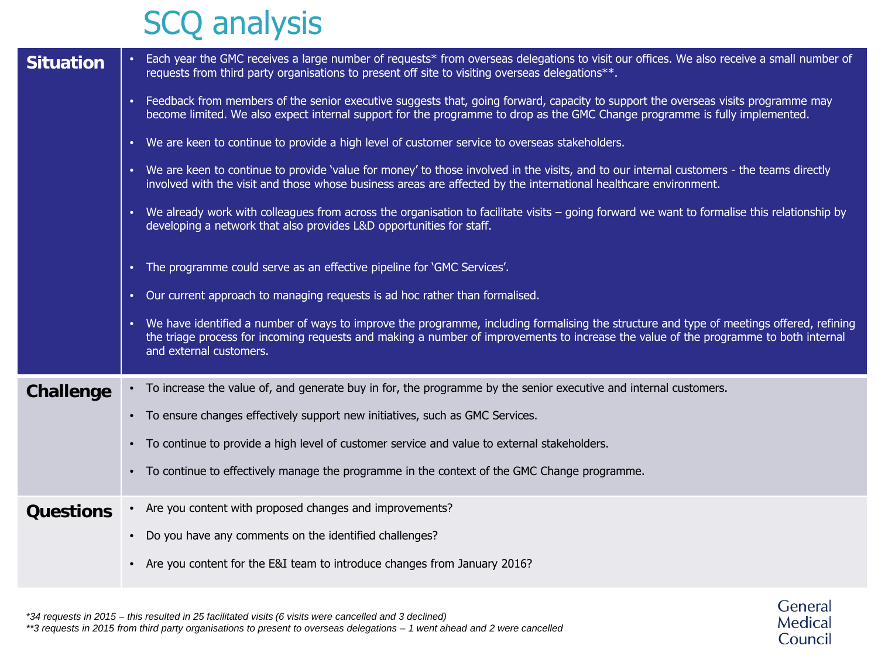## SCQ analysis

| <b>Situation</b> | Each year the GMC receives a large number of requests* from overseas delegations to visit our offices. We also receive a small number of<br>requests from third party organisations to present off site to visiting overseas delegations**.                                                                   |  |
|------------------|---------------------------------------------------------------------------------------------------------------------------------------------------------------------------------------------------------------------------------------------------------------------------------------------------------------|--|
|                  | Feedback from members of the senior executive suggests that, going forward, capacity to support the overseas visits programme may<br>become limited. We also expect internal support for the programme to drop as the GMC Change programme is fully implemented.                                              |  |
|                  | We are keen to continue to provide a high level of customer service to overseas stakeholders.                                                                                                                                                                                                                 |  |
|                  | We are keen to continue to provide 'value for money' to those involved in the visits, and to our internal customers - the teams directly<br>involved with the visit and those whose business areas are affected by the international healthcare environment.                                                  |  |
|                  | • We already work with colleagues from across the organisation to facilitate visits – going forward we want to formalise this relationship by<br>developing a network that also provides L&D opportunities for staff.                                                                                         |  |
|                  | The programme could serve as an effective pipeline for 'GMC Services'.                                                                                                                                                                                                                                        |  |
|                  | Our current approach to managing requests is ad hoc rather than formalised.                                                                                                                                                                                                                                   |  |
|                  | • We have identified a number of ways to improve the programme, including formalising the structure and type of meetings offered, refining<br>the triage process for incoming requests and making a number of improvements to increase the value of the programme to both internal<br>and external customers. |  |
| <b>Challenge</b> | • To increase the value of, and generate buy in for, the programme by the senior executive and internal customers.                                                                                                                                                                                            |  |
|                  | • To ensure changes effectively support new initiatives, such as GMC Services.                                                                                                                                                                                                                                |  |
|                  | To continue to provide a high level of customer service and value to external stakeholders.                                                                                                                                                                                                                   |  |
|                  | To continue to effectively manage the programme in the context of the GMC Change programme.                                                                                                                                                                                                                   |  |
| <b>Questions</b> | • Are you content with proposed changes and improvements?                                                                                                                                                                                                                                                     |  |
|                  | Do you have any comments on the identified challenges?                                                                                                                                                                                                                                                        |  |
|                  | Are you content for the E&I team to introduce changes from January 2016?                                                                                                                                                                                                                                      |  |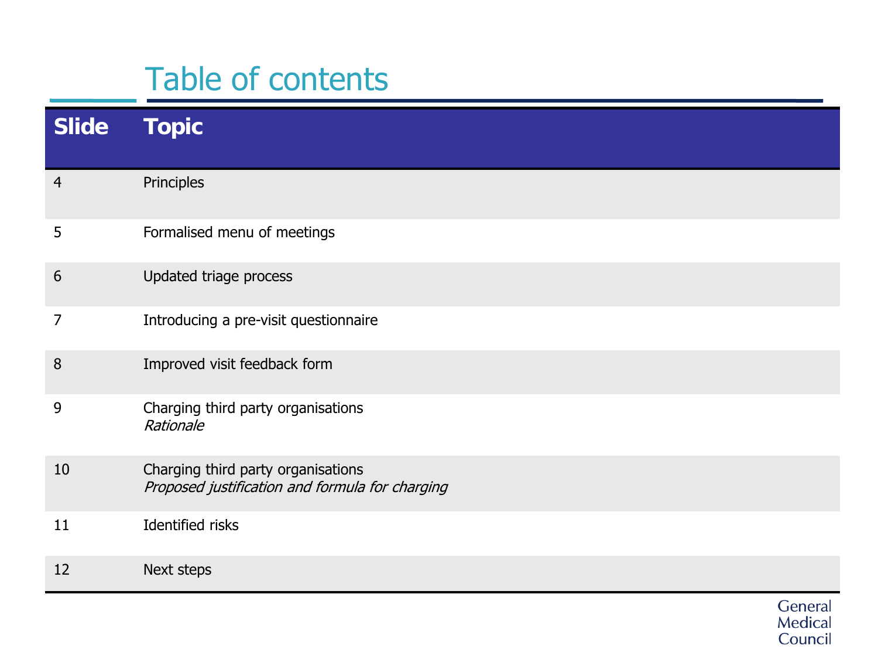## Table of contents

| <b>Slide</b>   | <b>Topic</b>                                                                          |
|----------------|---------------------------------------------------------------------------------------|
| $\overline{4}$ | Principles                                                                            |
| 5              | Formalised menu of meetings                                                           |
| 6              | Updated triage process                                                                |
| 7              | Introducing a pre-visit questionnaire                                                 |
| 8              | Improved visit feedback form                                                          |
| 9              | Charging third party organisations<br>Rationale                                       |
| 10             | Charging third party organisations<br>Proposed justification and formula for charging |
| 11             | <b>Identified risks</b>                                                               |
| 12             | Next steps                                                                            |
|                | General                                                                               |

Medical<br>Council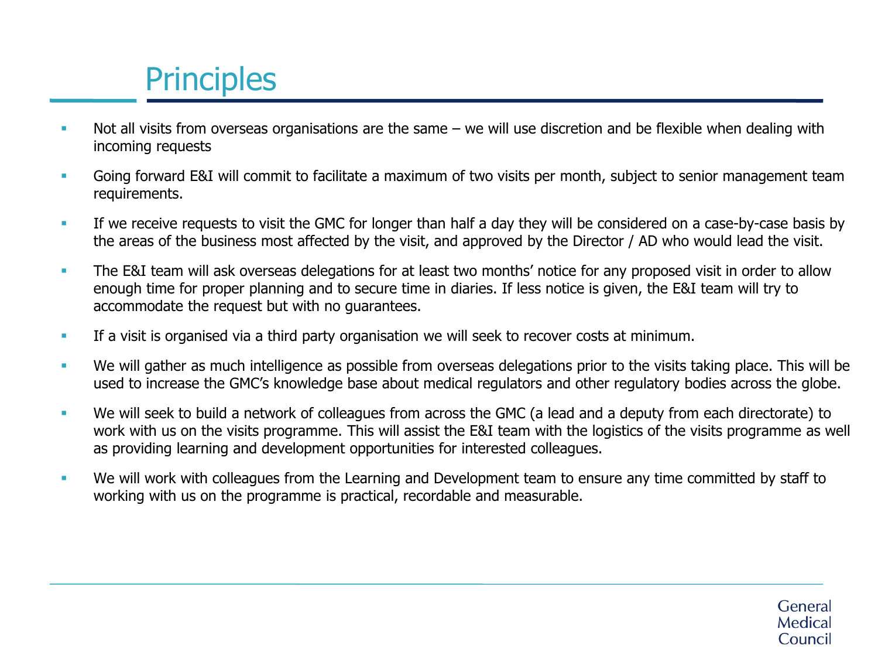# **Principles**

- Not all visits from overseas organisations are the same we will use discretion and be flexible when dealing with incoming requests
- Going forward E&I will commit to facilitate a maximum of two visits per month, subject to senior management team requirements.
- If we receive requests to visit the GMC for longer than half a day they will be considered on a case-by-case basis by the areas of the business most affected by the visit, and approved by the Director / AD who would lead the visit.
- The E&I team will ask overseas delegations for at least two months' notice for any proposed visit in order to allow enough time for proper planning and to secure time in diaries. If less notice is given, the E&I team will try to accommodate the request but with no guarantees.
- If a visit is organised via a third party organisation we will seek to recover costs at minimum.
- We will gather as much intelligence as possible from overseas delegations prior to the visits taking place. This will be used to increase the GMC's knowledge base about medical regulators and other regulatory bodies across the globe.
- We will seek to build a network of colleagues from across the GMC (a lead and a deputy from each directorate) to work with us on the visits programme. This will assist the E&I team with the logistics of the visits programme as well as providing learning and development opportunities for interested colleagues.
- We will work with colleagues from the Learning and Development team to ensure any time committed by staff to working with us on the programme is practical, recordable and measurable.

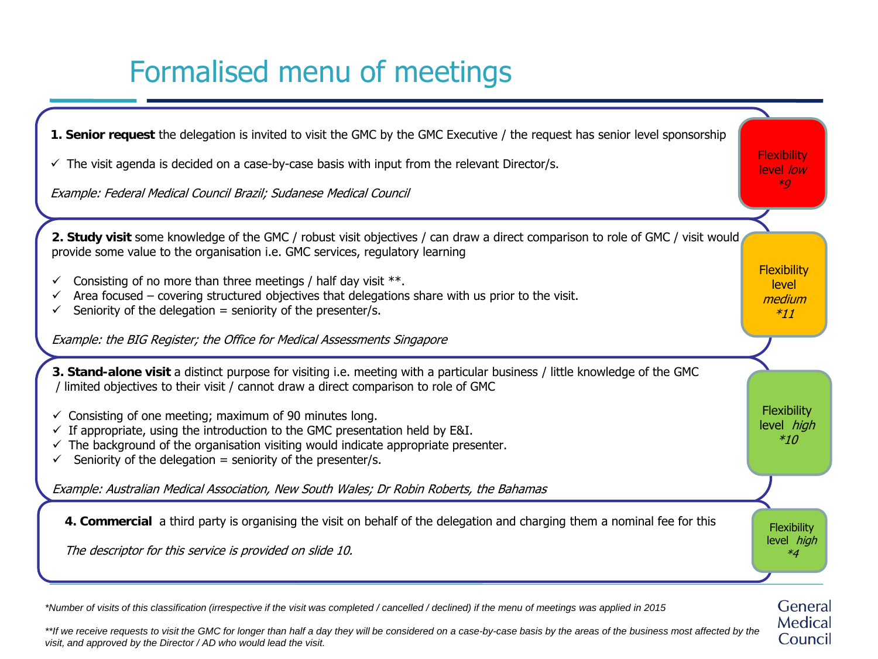## Formalised menu of meetings



*\*Number of visits of this classification (irrespective if the visit was completed / cancelled / declined) if the menu of meetings was applied in 2015*

\*\*If we receive requests to visit the GMC for longer than half a day they will be considered on a case-by-case basis by the areas of the business most affected by the *visit, and approved by the Director / AD who would lead the visit.* 

Medical Council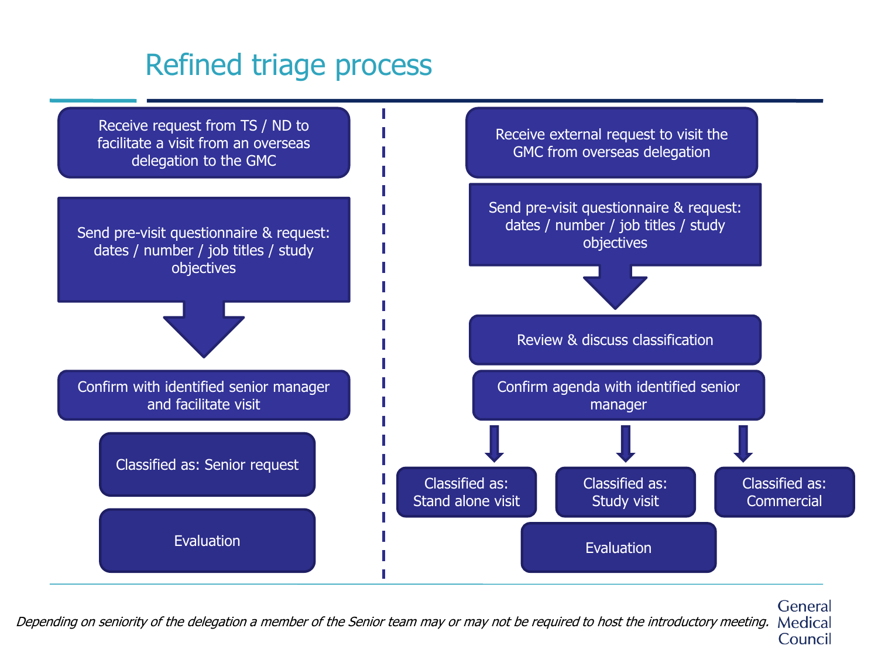### Refined triage process



General Depending on seniority of the delegation a member of the Senior team may or may not be required to host the introductory meeting. Medical Council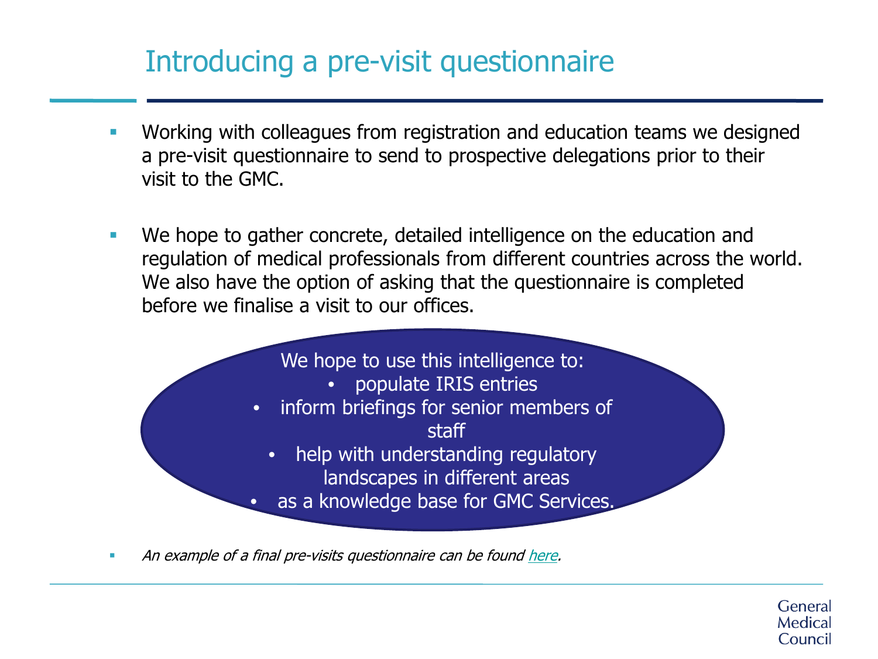### Introducing a pre-visit questionnaire

- Working with colleagues from registration and education teams we designed a pre-visit questionnaire to send to prospective delegations prior to their visit to the GMC.
- We hope to gather concrete, detailed intelligence on the education and regulation of medical professionals from different countries across the world. We also have the option of asking that the questionnaire is completed before we finalise a visit to our offices.



An example of a final pre-visits questionnaire can be found [here](http://livelink/edrms/llisapi.dll/fetch/2000/2909146/3862901/21042322/31410649/61074216/61225345/Pre-visit_feedback_form_(Vision_for_Visits_Trial).pdf?nodeid=64184661&vernum=-2).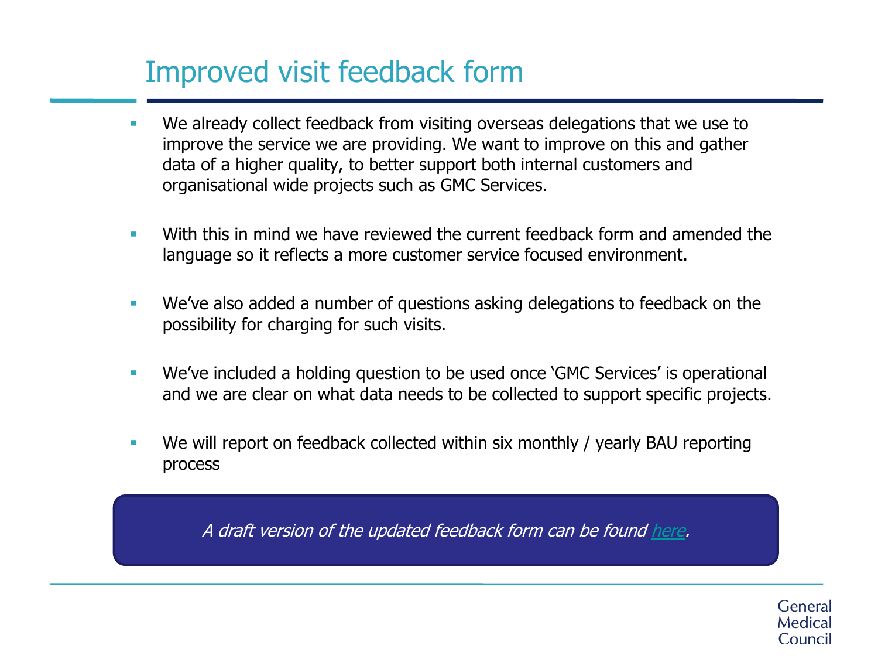## Improved visit feedback form

- We already collect feedback from visiting overseas delegations that we use to improve the service we are providing. We want to improve on this and gather data of a higher quality, to better support both internal customers and organisational wide projects such as GMC Services.
- With this in mind we have reviewed the current feedback form and amended the language so it reflects a more customer service focused environment.
- We've also added a number of questions asking delegations to feedback on the possibility for charging for such visits.
- We've included a holding question to be used once 'GMC Services' is operational and we are clear on what data needs to be collected to support specific projects.
- We will report on feedback collected within six monthly / yearly BAU reporting process

A draft version of the updated feedback form can be found [here](http://livelink/edrms/llisapi.dll/fetch/2000/2909146/3862901/21042322/31410649/61074216/Feedback_form_(Vision_for_Visits_2016).pdf?nodeid=64225917&vernum=-2).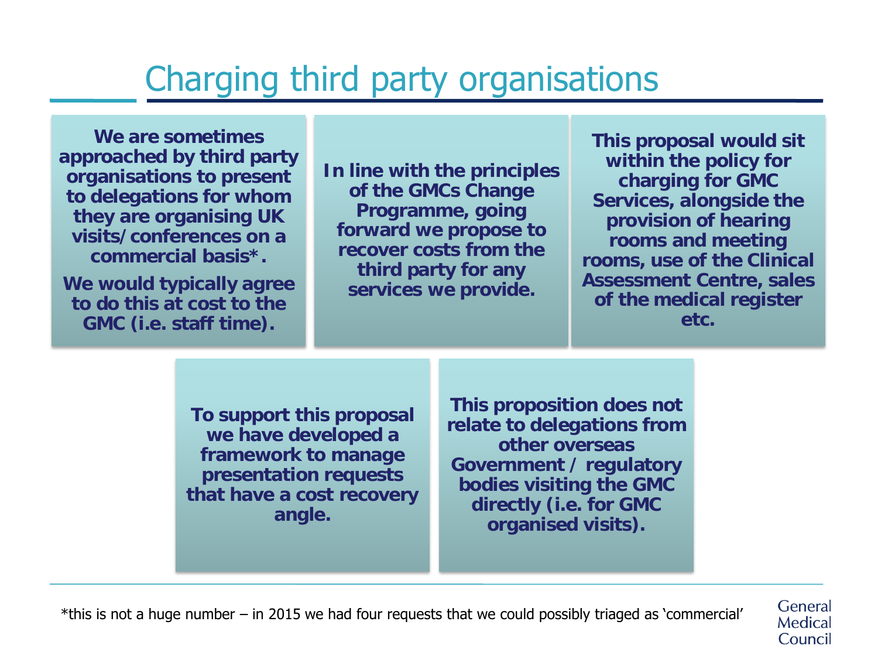# Charging third party organisations

**We are sometimes approached by third party organisations to present to delegations for whom they are organising UK visits/conferences on a commercial basis\*.** 

**We would typically agree to do this at cost to the GMC (i.e. staff time).**

**In line with the principles of the GMCs Change Programme, going forward we propose to recover costs from the third party for any services we provide.** 

**This proposal would sit within the policy for charging for GMC Services, alongside the provision of hearing rooms and meeting rooms, use of the Clinical Assessment Centre, sales of the medical register etc.**

> General Medical Council

**To support this proposal we have developed a framework to manage presentation requests that have a cost recovery angle.** 

**This proposition does not relate to delegations from other overseas Government / regulatory bodies visiting the GMC directly (i.e. for GMC organised visits).**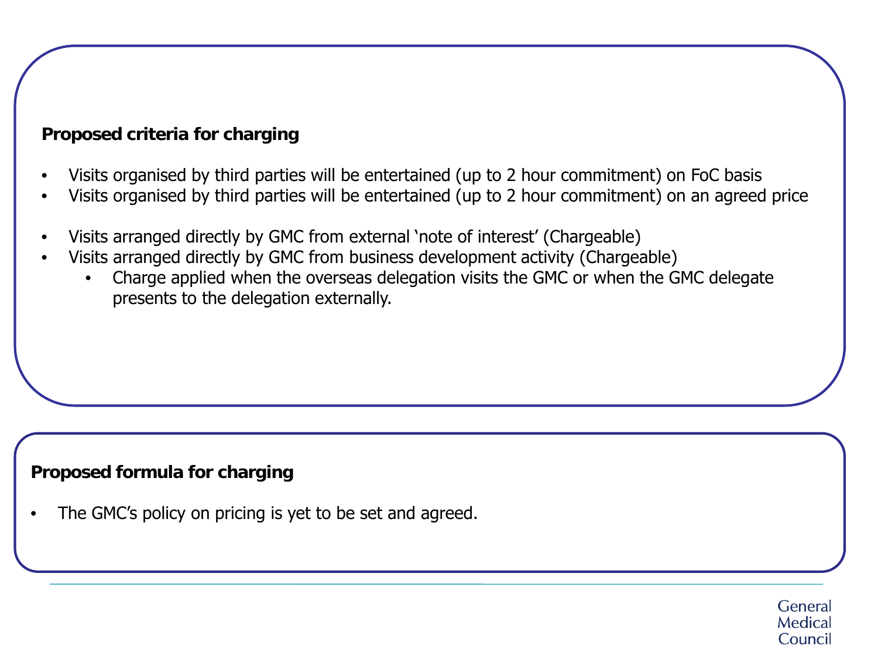### **Proposed criteria for charging**

- Visits organised by third parties will be entertained (up to 2 hour commitment) on FoC basis
- Visits organised by third parties will be entertained (up to 2 hour commitment) on an agreed price
- Visits arranged directly by GMC from external 'note of interest' (Chargeable)
- Visits arranged directly by GMC from business development activity (Chargeable)
	- Charge applied when the overseas delegation visits the GMC or when the GMC delegate presents to the delegation externally.

### **Proposed formula for charging**

The GMC's policy on pricing is yet to be set and agreed.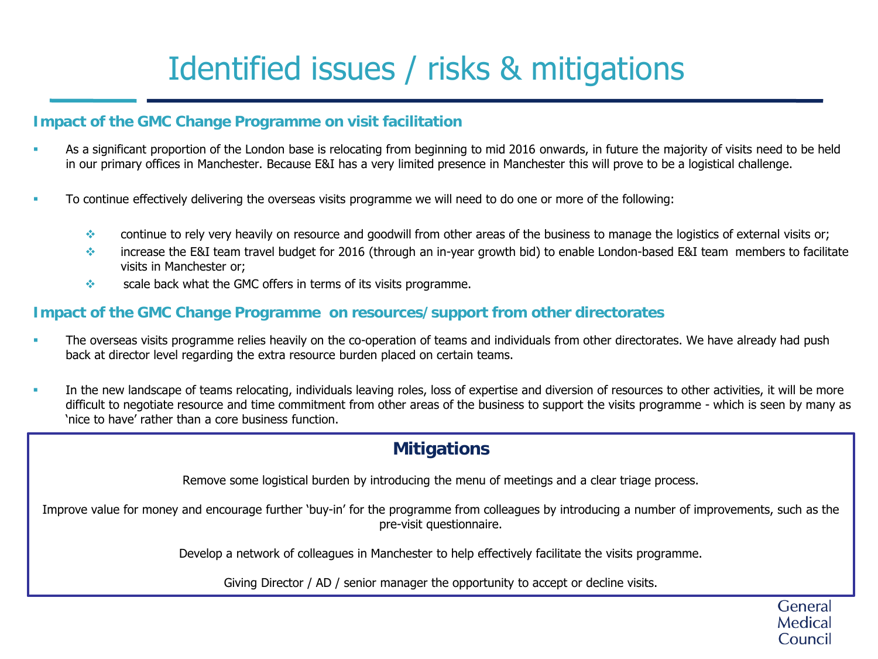# Identified issues / risks & mitigations

#### **Impact of the GMC Change Programme on visit facilitation**

- As a significant proportion of the London base is relocating from beginning to mid 2016 onwards, in future the majority of visits need to be held in our primary offices in Manchester. Because E&I has a very limited presence in Manchester this will prove to be a logistical challenge.
- To continue effectively delivering the overseas visits programme we will need to do one or more of the following:
	- continue to rely very heavily on resource and goodwill from other areas of the business to manage the logistics of external visits or;
	- increase the E&I team travel budget for 2016 (through an in-year growth bid) to enable London-based E&I team members to facilitate visits in Manchester or;
	- $\diamondsuit$  scale back what the GMC offers in terms of its visits programme.

#### **Impact of the GMC Change Programme on resources/support from other directorates**

- The overseas visits programme relies heavily on the co-operation of teams and individuals from other directorates. We have already had push back at director level regarding the extra resource burden placed on certain teams.
- In the new landscape of teams relocating, individuals leaving roles, loss of expertise and diversion of resources to other activities, it will be more difficult to negotiate resource and time commitment from other areas of the business to support the visits programme - which is seen by many as 'nice to have' rather than a core business function.

#### **Mitigations**

Remove some logistical burden by introducing the menu of meetings and a clear triage process.

Improve value for money and encourage further 'buy-in' for the programme from colleagues by introducing a number of improvements, such as the pre-visit questionnaire.

Develop a network of colleagues in Manchester to help effectively facilitate the visits programme.

Giving Director / AD / senior manager the opportunity to accept or decline visits.